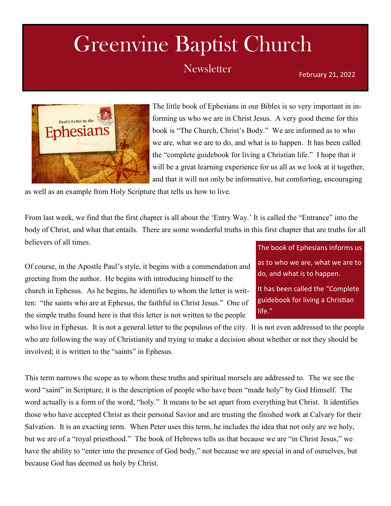## Greenvine Baptist Church

## **February 21, 2022**



The little book of Ephesians in our Bibles is so very important in informing us who we are in Christ Jesus. A very good theme for this book is "The Church, Christ's Body." We are informed as to who we are, what we are to do, and what is to happen. It has been called the "complete guidebook for living a Christian life." I hope that it will be a great learning experience for us all as we look at it together, and that it will not only be informative, but comforting, encouraging

as well as an example from Holy Scripture that tells us how to live.

From last week, we find that the first chapter is all about the 'Entry Way.' It is called the "Entrance" into the body of Christ, and what that entails. There are some wonderful truths in this first chapter that are truths for all believers of all times. The book of Ephesians informs us

Of course, in the Apostle Paul's style, it begins with a commendation and greeting from the author. He begins with introducing himself to the church in Ephesus. As he begins, he identifies to whom the letter is written: "the saints who are at Ephesus, the faithful in Christ Jesus." One of the simple truths found here is that this letter is not written to the people

as to who we are, what we are to do, and what is to happen. It has been called the "Complete guidebook for living a Christian life."

who live in Ephesus. It is not a general letter to the populous of the city. It is not even addressed to the people who are following the way of Christianity and trying to make a decision about whether or not they should be involved; it is written to the "saints" in Ephesus.

This term narrows the scope as to whom these truths and spiritual morsels are addressed to. The we see the word "saint" in Scripture, it is the description of people who have been "made holy" by God Himself. The word actually is a form of the word, "holy." It means to be set apart from everything but Christ. It identifies those who have accepted Christ as their personal Savior and are trusting the finished work at Calvary for their Salvation. It is an exacting term. When Peter uses this term, he includes the idea that not only are we holy, but we are of a "royal priesthood." The book of Hebrews tells us that because we are "in Christ Jesus," we have the ability to "enter into the presence of God body," not because we are special in and of ourselves, but because God has deemed us holy by Christ.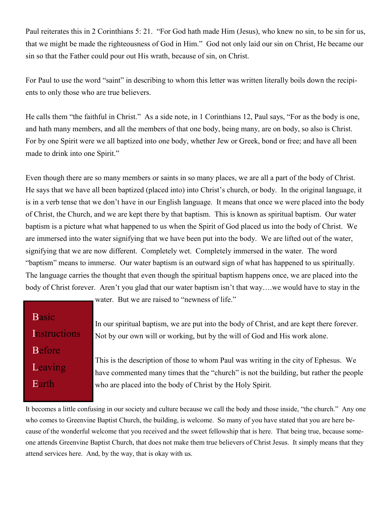Paul reiterates this in 2 Corinthians 5: 21. "For God hath made Him (Jesus), who knew no sin, to be sin for us, that we might be made the righteousness of God in Him." God not only laid our sin on Christ, He became our sin so that the Father could pour out His wrath, because of sin, on Christ.

For Paul to use the word "saint" in describing to whom this letter was written literally boils down the recipients to only those who are true believers.

He calls them "the faithful in Christ." As a side note, in 1 Corinthians 12, Paul says, "For as the body is one, and hath many members, and all the members of that one body, being many, are on body, so also is Christ. For by one Spirit were we all baptized into one body, whether Jew or Greek, bond or free; and have all been made to drink into one Spirit."

Even though there are so many members or saints in so many places, we are all a part of the body of Christ. He says that we have all been baptized (placed into) into Christ's church, or body. In the original language, it is in a verb tense that we don't have in our English language. It means that once we were placed into the body of Christ, the Church, and we are kept there by that baptism. This is known as spiritual baptism. Our water baptism is a picture what what happened to us when the Spirit of God placed us into the body of Christ. We are immersed into the water signifying that we have been put into the body. We are lifted out of the water, signifying that we are now different. Completely wet. Completely immersed in the water. The word "baptism" means to immerse. Our water baptism is an outward sign of what has happened to us spiritually. The language carries the thought that even though the spiritual baptism happens once, we are placed into the body of Christ forever. Aren't you glad that our water baptism isn't that way….we would have to stay in the

water. But we are raised to "newness of life."

Basic **Instructions** Before Leaving **Earth** 

In our spiritual baptism, we are put into the body of Christ, and are kept there forever. Not by our own will or working, but by the will of God and His work alone.

This is the description of those to whom Paul was writing in the city of Ephesus. We have commented many times that the "church" is not the building, but rather the people who are placed into the body of Christ by the Holy Spirit.

It becomes a little confusing in our society and culture because we call the body and those inside, "the church." Any one who comes to Greenvine Baptist Church, the building, is welcome. So many of you have stated that you are here because of the wonderful welcome that you received and the sweet fellowship that is here. That being true, because someone attends Greenvine Baptist Church, that does not make them true believers of Christ Jesus. It simply means that they attend services here. And, by the way, that is okay with us.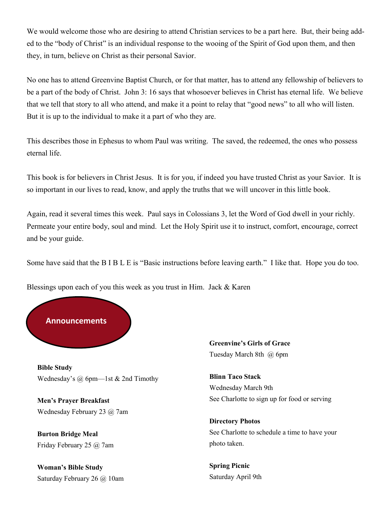We would welcome those who are desiring to attend Christian services to be a part here. But, their being added to the "body of Christ" is an individual response to the wooing of the Spirit of God upon them, and then they, in turn, believe on Christ as their personal Savior.

No one has to attend Greenvine Baptist Church, or for that matter, has to attend any fellowship of believers to be a part of the body of Christ. John 3: 16 says that whosoever believes in Christ has eternal life. We believe that we tell that story to all who attend, and make it a point to relay that "good news" to all who will listen. But it is up to the individual to make it a part of who they are.

This describes those in Ephesus to whom Paul was writing. The saved, the redeemed, the ones who possess eternal life.

This book is for believers in Christ Jesus. It is for you, if indeed you have trusted Christ as your Savior. It is so important in our lives to read, know, and apply the truths that we will uncover in this little book.

Again, read it several times this week. Paul says in Colossians 3, let the Word of God dwell in your richly. Permeate your entire body, soul and mind. Let the Holy Spirit use it to instruct, comfort, encourage, correct and be your guide.

Some have said that the B I B L E is "Basic instructions before leaving earth." I like that. Hope you do too.

Blessings upon each of you this week as you trust in Him. Jack & Karen

## **Announcements**

**Bible Study** Wednesday's @ 6pm—1st & 2nd Timothy

**Men's Prayer Breakfast** Wednesday February 23 @ 7am

**Burton Bridge Meal** Friday February 25 @ 7am

**Woman's Bible Study** Saturday February 26 @ 10am **Greenvine's Girls of Grace** Tuesday March 8th @ 6pm

**Blinn Taco Stack** Wednesday March 9th See Charlotte to sign up for food or serving

**Directory Photos** See Charlotte to schedule a time to have your photo taken.

**Spring Picnic** Saturday April 9th